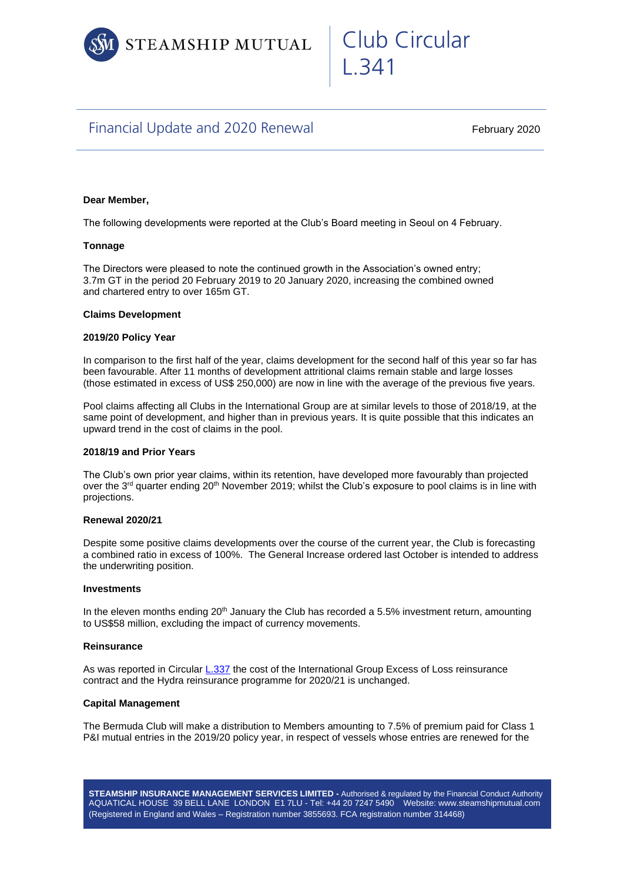

# Club Circular L.341

# Financial Update and 2020 Renewal

February 2020

# **Dear Member,**

The following developments were reported at the Club's Board meeting in Seoul on 4 February.

## **Tonnage**

The Directors were pleased to note the continued growth in the Association's owned entry; 3.7m GT in the period 20 February 2019 to 20 January 2020, increasing the combined owned and chartered entry to over 165m GT.

#### **Claims Development**

#### **2019/20 Policy Year**

In comparison to the first half of the year, claims development for the second half of this year so far has been favourable. After 11 months of development attritional claims remain stable and large losses (those estimated in excess of US\$ 250,000) are now in line with the average of the previous five years.

Pool claims affecting all Clubs in the International Group are at similar levels to those of 2018/19, at the same point of development, and higher than in previous years. It is quite possible that this indicates an upward trend in the cost of claims in the pool.

#### **2018/19 and Prior Years**

The Club's own prior year claims, within its retention, have developed more favourably than projected over the 3<sup>rd</sup> quarter ending 20<sup>th</sup> November 2019; whilst the Club's exposure to pool claims is in line with projections.

#### **Renewal 2020/21**

Despite some positive claims developments over the course of the current year, the Club is forecasting a combined ratio in excess of 100%. The General Increase ordered last October is intended to address the underwriting position.

#### **Investments**

In the eleven months ending  $20<sup>th</sup>$  January the Club has recorded a 5.5% investment return, amounting to US\$58 million, excluding the impact of currency movements.

## **Reinsurance**

As was reported in Circular [L.337](https://www.steamshipmutual.com/Circulars-London/L.337.pdf) the cost of the International Group Excess of Loss reinsurance contract and the Hydra reinsurance programme for 2020/21 is unchanged.

#### **Capital Management**

The Bermuda Club will make a distribution to Members amounting to 7.5% of premium paid for Class 1 P&I mutual entries in the 2019/20 policy year, in respect of vessels whose entries are renewed for the

**STEAMSHIP INSURANCE MANAGEMENT SERVICES LIMITED -** Authorised & regulated by the Financial Conduct Authority AQUATICAL HOUSE 39 BELL LANE LONDON E1 7LU - Tel: +44 20 7247 5490 Website: www.steamshipmutual.com (Registered in England and Wales – Registration number 3855693. FCA registration number 314468)